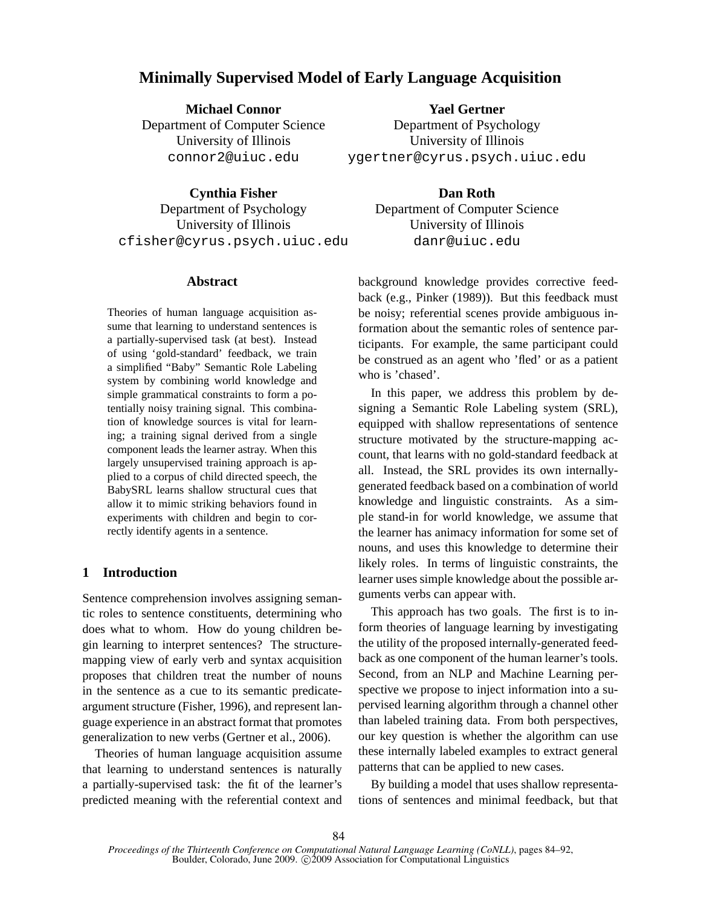# **Minimally Supervised Model of Early Language Acquisition**

**Michael Connor** Department of Computer Science University of Illinois connor2@uiuc.edu

**Cynthia Fisher** Department of Psychology University of Illinois cfisher@cyrus.psych.uiuc.edu

# **Abstract**

Theories of human language acquisition assume that learning to understand sentences is a partially-supervised task (at best). Instead of using 'gold-standard' feedback, we train a simplified "Baby" Semantic Role Labeling system by combining world knowledge and simple grammatical constraints to form a potentially noisy training signal. This combination of knowledge sources is vital for learning; a training signal derived from a single component leads the learner astray. When this largely unsupervised training approach is applied to a corpus of child directed speech, the BabySRL learns shallow structural cues that allow it to mimic striking behaviors found in experiments with children and begin to correctly identify agents in a sentence.

# **1 Introduction**

Sentence comprehension involves assigning semantic roles to sentence constituents, determining who does what to whom. How do young children begin learning to interpret sentences? The structuremapping view of early verb and syntax acquisition proposes that children treat the number of nouns in the sentence as a cue to its semantic predicateargument structure (Fisher, 1996), and represent language experience in an abstract format that promotes generalization to new verbs (Gertner et al., 2006).

Theories of human language acquisition assume that learning to understand sentences is naturally a partially-supervised task: the fit of the learner's predicted meaning with the referential context and

**Yael Gertner** Department of Psychology University of Illinois ygertner@cyrus.psych.uiuc.edu

**Dan Roth**

Department of Computer Science University of Illinois danr@uiuc.edu

background knowledge provides corrective feedback (e.g., Pinker (1989)). But this feedback must be noisy; referential scenes provide ambiguous information about the semantic roles of sentence participants. For example, the same participant could be construed as an agent who 'fled' or as a patient who is 'chased'.

In this paper, we address this problem by designing a Semantic Role Labeling system (SRL), equipped with shallow representations of sentence structure motivated by the structure-mapping account, that learns with no gold-standard feedback at all. Instead, the SRL provides its own internallygenerated feedback based on a combination of world knowledge and linguistic constraints. As a simple stand-in for world knowledge, we assume that the learner has animacy information for some set of nouns, and uses this knowledge to determine their likely roles. In terms of linguistic constraints, the learner uses simple knowledge about the possible arguments verbs can appear with.

This approach has two goals. The first is to inform theories of language learning by investigating the utility of the proposed internally-generated feedback as one component of the human learner's tools. Second, from an NLP and Machine Learning perspective we propose to inject information into a supervised learning algorithm through a channel other than labeled training data. From both perspectives, our key question is whether the algorithm can use these internally labeled examples to extract general patterns that can be applied to new cases.

By building a model that uses shallow representations of sentences and minimal feedback, but that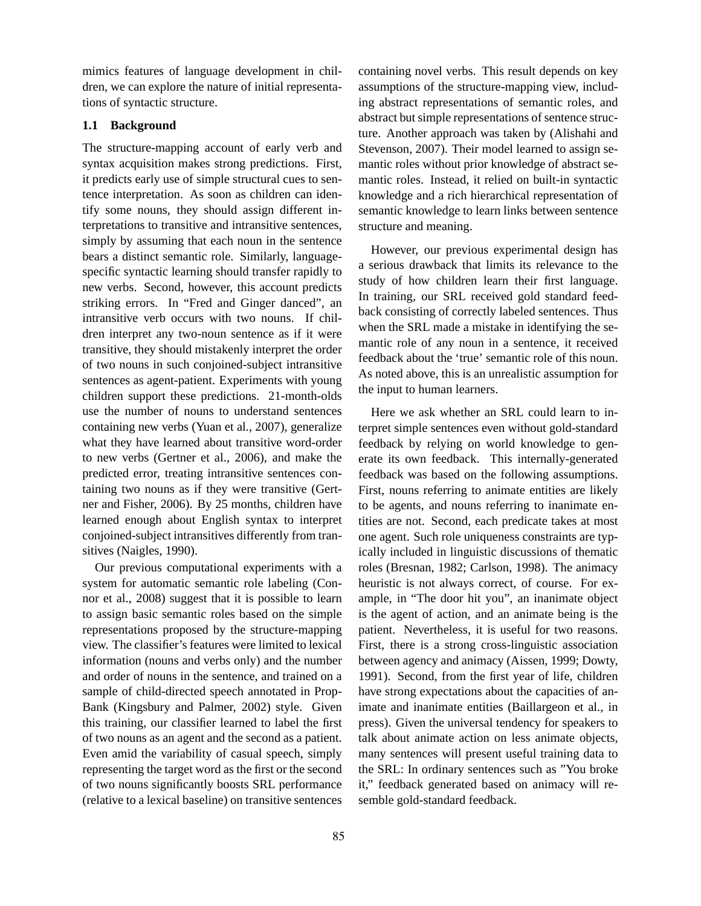mimics features of language development in children, we can explore the nature of initial representations of syntactic structure.

# **1.1 Background**

The structure-mapping account of early verb and syntax acquisition makes strong predictions. First, it predicts early use of simple structural cues to sentence interpretation. As soon as children can identify some nouns, they should assign different interpretations to transitive and intransitive sentences, simply by assuming that each noun in the sentence bears a distinct semantic role. Similarly, languagespecific syntactic learning should transfer rapidly to new verbs. Second, however, this account predicts striking errors. In "Fred and Ginger danced", an intransitive verb occurs with two nouns. If children interpret any two-noun sentence as if it were transitive, they should mistakenly interpret the order of two nouns in such conjoined-subject intransitive sentences as agent-patient. Experiments with young children support these predictions. 21-month-olds use the number of nouns to understand sentences containing new verbs (Yuan et al., 2007), generalize what they have learned about transitive word-order to new verbs (Gertner et al., 2006), and make the predicted error, treating intransitive sentences containing two nouns as if they were transitive (Gertner and Fisher, 2006). By 25 months, children have learned enough about English syntax to interpret conjoined-subject intransitives differently from transitives (Naigles, 1990).

Our previous computational experiments with a system for automatic semantic role labeling (Connor et al., 2008) suggest that it is possible to learn to assign basic semantic roles based on the simple representations proposed by the structure-mapping view. The classifier's features were limited to lexical information (nouns and verbs only) and the number and order of nouns in the sentence, and trained on a sample of child-directed speech annotated in Prop-Bank (Kingsbury and Palmer, 2002) style. Given this training, our classifier learned to label the first of two nouns as an agent and the second as a patient. Even amid the variability of casual speech, simply representing the target word as the first or the second of two nouns significantly boosts SRL performance (relative to a lexical baseline) on transitive sentences containing novel verbs. This result depends on key assumptions of the structure-mapping view, including abstract representations of semantic roles, and abstract but simple representations of sentence structure. Another approach was taken by (Alishahi and Stevenson, 2007). Their model learned to assign semantic roles without prior knowledge of abstract semantic roles. Instead, it relied on built-in syntactic knowledge and a rich hierarchical representation of semantic knowledge to learn links between sentence structure and meaning.

However, our previous experimental design has a serious drawback that limits its relevance to the study of how children learn their first language. In training, our SRL received gold standard feedback consisting of correctly labeled sentences. Thus when the SRL made a mistake in identifying the semantic role of any noun in a sentence, it received feedback about the 'true' semantic role of this noun. As noted above, this is an unrealistic assumption for the input to human learners.

Here we ask whether an SRL could learn to interpret simple sentences even without gold-standard feedback by relying on world knowledge to generate its own feedback. This internally-generated feedback was based on the following assumptions. First, nouns referring to animate entities are likely to be agents, and nouns referring to inanimate entities are not. Second, each predicate takes at most one agent. Such role uniqueness constraints are typically included in linguistic discussions of thematic roles (Bresnan, 1982; Carlson, 1998). The animacy heuristic is not always correct, of course. For example, in "The door hit you", an inanimate object is the agent of action, and an animate being is the patient. Nevertheless, it is useful for two reasons. First, there is a strong cross-linguistic association between agency and animacy (Aissen, 1999; Dowty, 1991). Second, from the first year of life, children have strong expectations about the capacities of animate and inanimate entities (Baillargeon et al., in press). Given the universal tendency for speakers to talk about animate action on less animate objects, many sentences will present useful training data to the SRL: In ordinary sentences such as "You broke it," feedback generated based on animacy will resemble gold-standard feedback.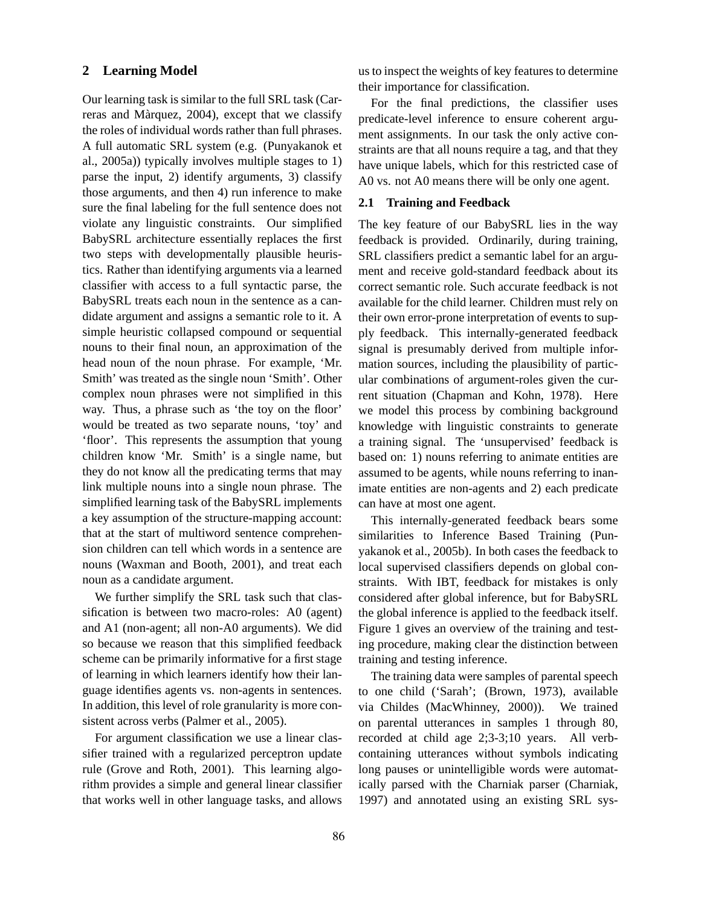### **2 Learning Model**

Our learning task is similar to the full SRL task (Carreras and Marquez, 2004), except that we classify ` the roles of individual words rather than full phrases. A full automatic SRL system (e.g. (Punyakanok et al., 2005a)) typically involves multiple stages to 1) parse the input, 2) identify arguments, 3) classify those arguments, and then 4) run inference to make sure the final labeling for the full sentence does not violate any linguistic constraints. Our simplified BabySRL architecture essentially replaces the first two steps with developmentally plausible heuristics. Rather than identifying arguments via a learned classifier with access to a full syntactic parse, the BabySRL treats each noun in the sentence as a candidate argument and assigns a semantic role to it. A simple heuristic collapsed compound or sequential nouns to their final noun, an approximation of the head noun of the noun phrase. For example, 'Mr. Smith' was treated as the single noun 'Smith'. Other complex noun phrases were not simplified in this way. Thus, a phrase such as 'the toy on the floor' would be treated as two separate nouns, 'toy' and 'floor'. This represents the assumption that young children know 'Mr. Smith' is a single name, but they do not know all the predicating terms that may link multiple nouns into a single noun phrase. The simplified learning task of the BabySRL implements a key assumption of the structure-mapping account: that at the start of multiword sentence comprehension children can tell which words in a sentence are nouns (Waxman and Booth, 2001), and treat each noun as a candidate argument.

We further simplify the SRL task such that classification is between two macro-roles: A0 (agent) and A1 (non-agent; all non-A0 arguments). We did so because we reason that this simplified feedback scheme can be primarily informative for a first stage of learning in which learners identify how their language identifies agents vs. non-agents in sentences. In addition, this level of role granularity is more consistent across verbs (Palmer et al., 2005).

For argument classification we use a linear classifier trained with a regularized perceptron update rule (Grove and Roth, 2001). This learning algorithm provides a simple and general linear classifier that works well in other language tasks, and allows us to inspect the weights of key features to determine their importance for classification.

For the final predictions, the classifier uses predicate-level inference to ensure coherent argument assignments. In our task the only active constraints are that all nouns require a tag, and that they have unique labels, which for this restricted case of A0 vs. not A0 means there will be only one agent.

#### **2.1 Training and Feedback**

The key feature of our BabySRL lies in the way feedback is provided. Ordinarily, during training, SRL classifiers predict a semantic label for an argument and receive gold-standard feedback about its correct semantic role. Such accurate feedback is not available for the child learner. Children must rely on their own error-prone interpretation of events to supply feedback. This internally-generated feedback signal is presumably derived from multiple information sources, including the plausibility of particular combinations of argument-roles given the current situation (Chapman and Kohn, 1978). Here we model this process by combining background knowledge with linguistic constraints to generate a training signal. The 'unsupervised' feedback is based on: 1) nouns referring to animate entities are assumed to be agents, while nouns referring to inanimate entities are non-agents and 2) each predicate can have at most one agent.

This internally-generated feedback bears some similarities to Inference Based Training (Punyakanok et al., 2005b). In both cases the feedback to local supervised classifiers depends on global constraints. With IBT, feedback for mistakes is only considered after global inference, but for BabySRL the global inference is applied to the feedback itself. Figure 1 gives an overview of the training and testing procedure, making clear the distinction between training and testing inference.

The training data were samples of parental speech to one child ('Sarah'; (Brown, 1973), available via Childes (MacWhinney, 2000)). We trained on parental utterances in samples 1 through 80, recorded at child age 2;3-3;10 years. All verbcontaining utterances without symbols indicating long pauses or unintelligible words were automatically parsed with the Charniak parser (Charniak, 1997) and annotated using an existing SRL sys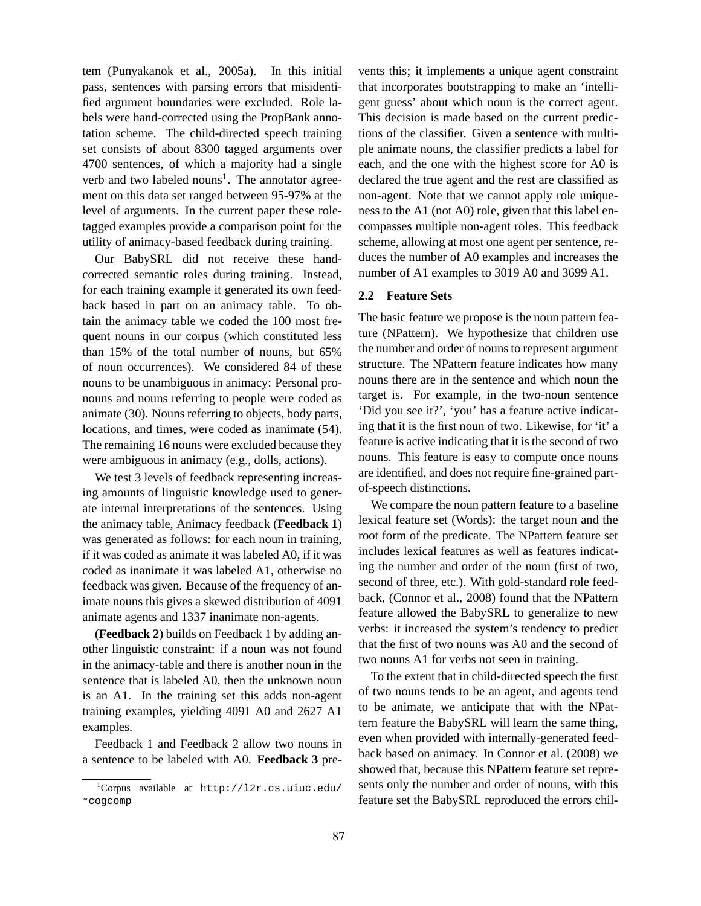tem (Punyakanok et al., 2005a). In this initial pass, sentences with parsing errors that misidentified argument boundaries were excluded. Role labels were hand-corrected using the PropBank annotation scheme. The child-directed speech training set consists of about 8300 tagged arguments over 4700 sentences, of which a majority had a single verb and two labeled nouns<sup>1</sup>. The annotator agreement on this data set ranged between 95-97% at the level of arguments. In the current paper these roletagged examples provide a comparison point for the utility of animacy-based feedback during training.

Our BabySRL did not receive these handcorrected semantic roles during training. Instead, for each training example it generated its own feedback based in part on an animacy table. To obtain the animacy table we coded the 100 most frequent nouns in our corpus (which constituted less than 15% of the total number of nouns, but 65% of noun occurrences). We considered 84 of these nouns to be unambiguous in animacy: Personal pronouns and nouns referring to people were coded as animate (30). Nouns referring to objects, body parts, locations, and times, were coded as inanimate (54). The remaining 16 nouns were excluded because they were ambiguous in animacy (e.g., dolls, actions).

We test 3 levels of feedback representing increasing amounts of linguistic knowledge used to generate internal interpretations of the sentences. Using the animacy table, Animacy feedback (**Feedback 1**) was generated as follows: for each noun in training, if it was coded as animate it was labeled A0, if it was coded as inanimate it was labeled A1, otherwise no feedback was given. Because of the frequency of animate nouns this gives a skewed distribution of 4091 animate agents and 1337 inanimate non-agents.

(**Feedback 2**) builds on Feedback 1 by adding another linguistic constraint: if a noun was not found in the animacy-table and there is another noun in the sentence that is labeled A0, then the unknown noun is an A1. In the training set this adds non-agent training examples, yielding 4091 A0 and 2627 A1 examples.

Feedback 1 and Feedback 2 allow two nouns in a sentence to be labeled with A0. **Feedback 3** prevents this; it implements a unique agent constraint that incorporates bootstrapping to make an 'intelligent guess' about which noun is the correct agent. This decision is made based on the current predictions of the classifier. Given a sentence with multiple animate nouns, the classifier predicts a label for each, and the one with the highest score for A0 is declared the true agent and the rest are classified as non-agent. Note that we cannot apply role uniqueness to the A1 (not A0) role, given that this label encompasses multiple non-agent roles. This feedback scheme, allowing at most one agent per sentence, reduces the number of A0 examples and increases the number of A1 examples to 3019 A0 and 3699 A1.

### **2.2 Feature Sets**

The basic feature we propose is the noun pattern feature (NPattern). We hypothesize that children use the number and order of nouns to represent argument structure. The NPattern feature indicates how many nouns there are in the sentence and which noun the target is. For example, in the two-noun sentence 'Did you see it?', 'you' has a feature active indicating that it is the first noun of two. Likewise, for 'it' a feature is active indicating that it is the second of two nouns. This feature is easy to compute once nouns are identified, and does not require fine-grained partof-speech distinctions.

We compare the noun pattern feature to a baseline lexical feature set (Words): the target noun and the root form of the predicate. The NPattern feature set includes lexical features as well as features indicating the number and order of the noun (first of two, second of three, etc.). With gold-standard role feedback, (Connor et al., 2008) found that the NPattern feature allowed the BabySRL to generalize to new verbs: it increased the system's tendency to predict that the first of two nouns was A0 and the second of two nouns A1 for verbs not seen in training.

To the extent that in child-directed speech the first of two nouns tends to be an agent, and agents tend to be animate, we anticipate that with the NPattern feature the BabySRL will learn the same thing, even when provided with internally-generated feedback based on animacy. In Connor et al. (2008) we showed that, because this NPattern feature set represents only the number and order of nouns, with this feature set the BabySRL reproduced the errors chil-

 $1$ Corpus available at http://l2r.cs.uiuc.edu/ ˜cogcomp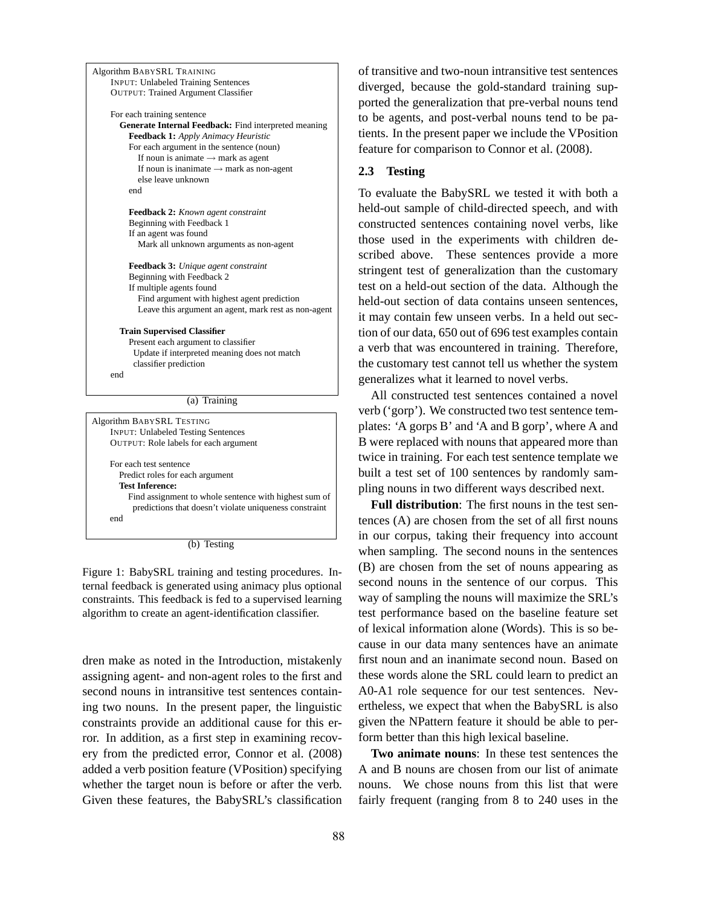| Algorithm BABYSRL TRAINING                             |  |
|--------------------------------------------------------|--|
| <b>INPUT: Unlabeled Training Sentences</b>             |  |
| <b>OUTPUT: Trained Argument Classifier</b>             |  |
| For each training sentence                             |  |
| Generate Internal Feedback: Find interpreted meaning   |  |
| Feedback 1: Apply Animacy Heuristic                    |  |
| For each argument in the sentence (noun)               |  |
| If noun is animate $\rightarrow$ mark as agent         |  |
| If noun is inanimate $\rightarrow$ mark as non-agent   |  |
| else leave unknown                                     |  |
| end                                                    |  |
| Feedback 2: Known agent constraint                     |  |
| Beginning with Feedback 1                              |  |
| If an agent was found                                  |  |
| Mark all unknown arguments as non-agent                |  |
|                                                        |  |
| Feedback 3: Unique agent constraint                    |  |
| Beginning with Feedback 2                              |  |
| If multiple agents found                               |  |
| Find argument with highest agent prediction            |  |
| Leave this argument an agent, mark rest as non-agent   |  |
| <b>Train Supervised Classifier</b>                     |  |
| Present each argument to classifier                    |  |
| Update if interpreted meaning does not match           |  |
| classifier prediction                                  |  |
| end                                                    |  |
|                                                        |  |
| (a) Training                                           |  |
| <b>Algorithm BABYSRL TESTING</b>                       |  |
| <b>INPUT: Unlabeled Testing Sentences</b>              |  |
| OUTPUT: Role labels for each argument                  |  |
|                                                        |  |
| For each test sentence                                 |  |
| Predict roles for each argument                        |  |
| <b>Test Inference:</b>                                 |  |
| Find assignment to whole sentence with highest sum of  |  |
| predictions that doesn't violate uniqueness constraint |  |

end

(b) Testing

Figure 1: BabySRL training and testing procedures. Internal feedback is generated using animacy plus optional constraints. This feedback is fed to a supervised learning algorithm to create an agent-identification classifier.

dren make as noted in the Introduction, mistakenly assigning agent- and non-agent roles to the first and second nouns in intransitive test sentences containing two nouns. In the present paper, the linguistic constraints provide an additional cause for this error. In addition, as a first step in examining recovery from the predicted error, Connor et al. (2008) added a verb position feature (VPosition) specifying whether the target noun is before or after the verb. Given these features, the BabySRL's classification

of transitive and two-noun intransitive test sentences diverged, because the gold-standard training supported the generalization that pre-verbal nouns tend to be agents, and post-verbal nouns tend to be patients. In the present paper we include the VPosition feature for comparison to Connor et al. (2008).

#### **2.3 Testing**

To evaluate the BabySRL we tested it with both a held-out sample of child-directed speech, and with constructed sentences containing novel verbs, like those used in the experiments with children described above. These sentences provide a more stringent test of generalization than the customary test on a held-out section of the data. Although the held-out section of data contains unseen sentences, it may contain few unseen verbs. In a held out section of our data, 650 out of 696 test examples contain a verb that was encountered in training. Therefore, the customary test cannot tell us whether the system generalizes what it learned to novel verbs.

All constructed test sentences contained a novel verb ('gorp'). We constructed two test sentence templates: 'A gorps B' and 'A and B gorp', where A and B were replaced with nouns that appeared more than twice in training. For each test sentence template we built a test set of 100 sentences by randomly sampling nouns in two different ways described next.

**Full distribution**: The first nouns in the test sentences (A) are chosen from the set of all first nouns in our corpus, taking their frequency into account when sampling. The second nouns in the sentences (B) are chosen from the set of nouns appearing as second nouns in the sentence of our corpus. This way of sampling the nouns will maximize the SRL's test performance based on the baseline feature set of lexical information alone (Words). This is so because in our data many sentences have an animate first noun and an inanimate second noun. Based on these words alone the SRL could learn to predict an A0-A1 role sequence for our test sentences. Nevertheless, we expect that when the BabySRL is also given the NPattern feature it should be able to perform better than this high lexical baseline.

**Two animate nouns**: In these test sentences the A and B nouns are chosen from our list of animate nouns. We chose nouns from this list that were fairly frequent (ranging from 8 to 240 uses in the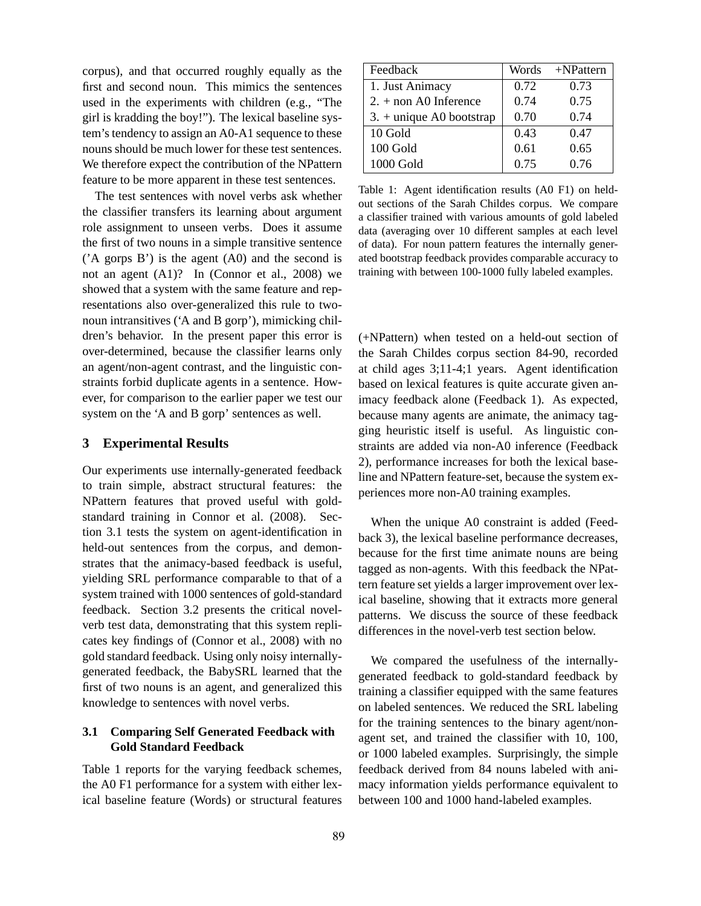corpus), and that occurred roughly equally as the first and second noun. This mimics the sentences used in the experiments with children (e.g., "The girl is kradding the boy!"). The lexical baseline system's tendency to assign an A0-A1 sequence to these nouns should be much lower for these test sentences. We therefore expect the contribution of the NPattern feature to be more apparent in these test sentences.

The test sentences with novel verbs ask whether the classifier transfers its learning about argument role assignment to unseen verbs. Does it assume the first of two nouns in a simple transitive sentence ('A gorps B') is the agent (A0) and the second is not an agent (A1)? In (Connor et al., 2008) we showed that a system with the same feature and representations also over-generalized this rule to twonoun intransitives ('A and B gorp'), mimicking children's behavior. In the present paper this error is over-determined, because the classifier learns only an agent/non-agent contrast, and the linguistic constraints forbid duplicate agents in a sentence. However, for comparison to the earlier paper we test our system on the 'A and B gorp' sentences as well.

### **3 Experimental Results**

Our experiments use internally-generated feedback to train simple, abstract structural features: the NPattern features that proved useful with goldstandard training in Connor et al. (2008). Section 3.1 tests the system on agent-identification in held-out sentences from the corpus, and demonstrates that the animacy-based feedback is useful, yielding SRL performance comparable to that of a system trained with 1000 sentences of gold-standard feedback. Section 3.2 presents the critical novelverb test data, demonstrating that this system replicates key findings of (Connor et al., 2008) with no gold standard feedback. Using only noisy internallygenerated feedback, the BabySRL learned that the first of two nouns is an agent, and generalized this knowledge to sentences with novel verbs.

# **3.1 Comparing Self Generated Feedback with Gold Standard Feedback**

Table 1 reports for the varying feedback schemes, the A0 F1 performance for a system with either lexical baseline feature (Words) or structural features

| Feedback                   | Words | +NPattern |
|----------------------------|-------|-----------|
| 1. Just Animacy            | 0.72  | 0.73      |
| $2. +$ non A0 Inference    | 0.74  | 0.75      |
| $3. +$ unique A0 bootstrap | 0.70  | 0.74      |
| 10 Gold                    | 0.43  | 0.47      |
| 100 Gold                   | 0.61  | 0.65      |
| 1000 Gold                  | 0.75  | 0.76      |

Table 1: Agent identification results (A0 F1) on heldout sections of the Sarah Childes corpus. We compare a classifier trained with various amounts of gold labeled data (averaging over 10 different samples at each level of data). For noun pattern features the internally generated bootstrap feedback provides comparable accuracy to training with between 100-1000 fully labeled examples.

(+NPattern) when tested on a held-out section of the Sarah Childes corpus section 84-90, recorded at child ages 3;11-4;1 years. Agent identification based on lexical features is quite accurate given animacy feedback alone (Feedback 1). As expected, because many agents are animate, the animacy tagging heuristic itself is useful. As linguistic constraints are added via non-A0 inference (Feedback 2), performance increases for both the lexical baseline and NPattern feature-set, because the system experiences more non-A0 training examples.

When the unique A0 constraint is added (Feedback 3), the lexical baseline performance decreases, because for the first time animate nouns are being tagged as non-agents. With this feedback the NPattern feature set yields a larger improvement over lexical baseline, showing that it extracts more general patterns. We discuss the source of these feedback differences in the novel-verb test section below.

We compared the usefulness of the internallygenerated feedback to gold-standard feedback by training a classifier equipped with the same features on labeled sentences. We reduced the SRL labeling for the training sentences to the binary agent/nonagent set, and trained the classifier with 10, 100, or 1000 labeled examples. Surprisingly, the simple feedback derived from 84 nouns labeled with animacy information yields performance equivalent to between 100 and 1000 hand-labeled examples.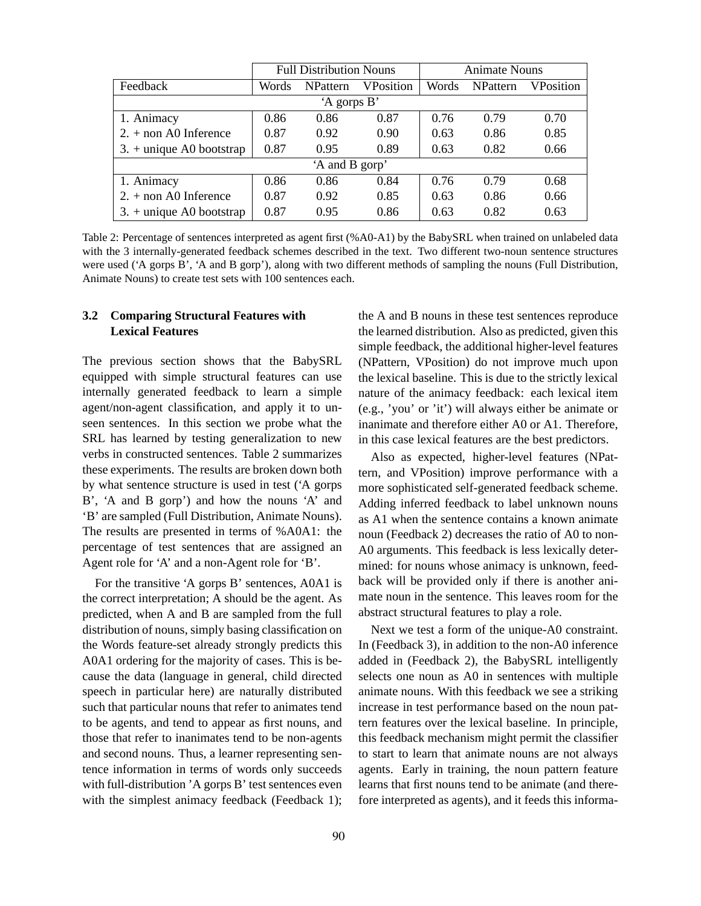|                                 | <b>Full Distribution Nouns</b> |                 |           | <b>Animate Nouns</b> |                 |                  |  |  |  |  |
|---------------------------------|--------------------------------|-----------------|-----------|----------------------|-----------------|------------------|--|--|--|--|
| Feedback                        | Words                          | <b>NPattern</b> | VPosition | Words                | <b>NPattern</b> | <b>VPosition</b> |  |  |  |  |
| 'A gorps B'                     |                                |                 |           |                      |                 |                  |  |  |  |  |
| 1. Animacy                      | 0.86                           | 0.86            | 0.87      | 0.76                 | 0.79            | 0.70             |  |  |  |  |
| $2. +$ non A0 Inference         | 0.87                           | 0.92            | 0.90      | 0.63                 | 0.86            | 0.85             |  |  |  |  |
| $3. +$ unique A0 bootstrap      | 0.87                           | 0.95            | 0.89      | 0.63                 | 0.82            | 0.66             |  |  |  |  |
| 'A and B gorp'                  |                                |                 |           |                      |                 |                  |  |  |  |  |
| 1. Animacy                      | 0.86                           | 0.86            | 0.84      | 0.76                 | 0.79            | 0.68             |  |  |  |  |
| $2. + \text{non }$ A0 Inference | 0.87                           | 0.92            | 0.85      | 0.63                 | 0.86            | 0.66             |  |  |  |  |
| $3. +$ unique A0 bootstrap      | 0.87                           | 0.95            | 0.86      | 0.63                 | 0.82            | 0.63             |  |  |  |  |

Table 2: Percentage of sentences interpreted as agent first (%A0-A1) by the BabySRL when trained on unlabeled data with the 3 internally-generated feedback schemes described in the text. Two different two-noun sentence structures were used ('A gorps B', 'A and B gorp'), along with two different methods of sampling the nouns (Full Distribution, Animate Nouns) to create test sets with 100 sentences each.

# **3.2 Comparing Structural Features with Lexical Features**

The previous section shows that the BabySRL equipped with simple structural features can use internally generated feedback to learn a simple agent/non-agent classification, and apply it to unseen sentences. In this section we probe what the SRL has learned by testing generalization to new verbs in constructed sentences. Table 2 summarizes these experiments. The results are broken down both by what sentence structure is used in test ('A gorps B', 'A and B gorp') and how the nouns 'A' and 'B' are sampled (Full Distribution, Animate Nouns). The results are presented in terms of %A0A1: the percentage of test sentences that are assigned an Agent role for 'A' and a non-Agent role for 'B'.

For the transitive 'A gorps B' sentences, A0A1 is the correct interpretation; A should be the agent. As predicted, when A and B are sampled from the full distribution of nouns, simply basing classification on the Words feature-set already strongly predicts this A0A1 ordering for the majority of cases. This is because the data (language in general, child directed speech in particular here) are naturally distributed such that particular nouns that refer to animates tend to be agents, and tend to appear as first nouns, and those that refer to inanimates tend to be non-agents and second nouns. Thus, a learner representing sentence information in terms of words only succeeds with full-distribution 'A gorps B' test sentences even with the simplest animacy feedback (Feedback 1);

the A and B nouns in these test sentences reproduce the learned distribution. Also as predicted, given this simple feedback, the additional higher-level features (NPattern, VPosition) do not improve much upon the lexical baseline. This is due to the strictly lexical nature of the animacy feedback: each lexical item (e.g., 'you' or 'it') will always either be animate or inanimate and therefore either A0 or A1. Therefore, in this case lexical features are the best predictors.

Also as expected, higher-level features (NPattern, and VPosition) improve performance with a more sophisticated self-generated feedback scheme. Adding inferred feedback to label unknown nouns as A1 when the sentence contains a known animate noun (Feedback 2) decreases the ratio of A0 to non-A0 arguments. This feedback is less lexically determined: for nouns whose animacy is unknown, feedback will be provided only if there is another animate noun in the sentence. This leaves room for the abstract structural features to play a role.

Next we test a form of the unique-A0 constraint. In (Feedback 3), in addition to the non-A0 inference added in (Feedback 2), the BabySRL intelligently selects one noun as A0 in sentences with multiple animate nouns. With this feedback we see a striking increase in test performance based on the noun pattern features over the lexical baseline. In principle, this feedback mechanism might permit the classifier to start to learn that animate nouns are not always agents. Early in training, the noun pattern feature learns that first nouns tend to be animate (and therefore interpreted as agents), and it feeds this informa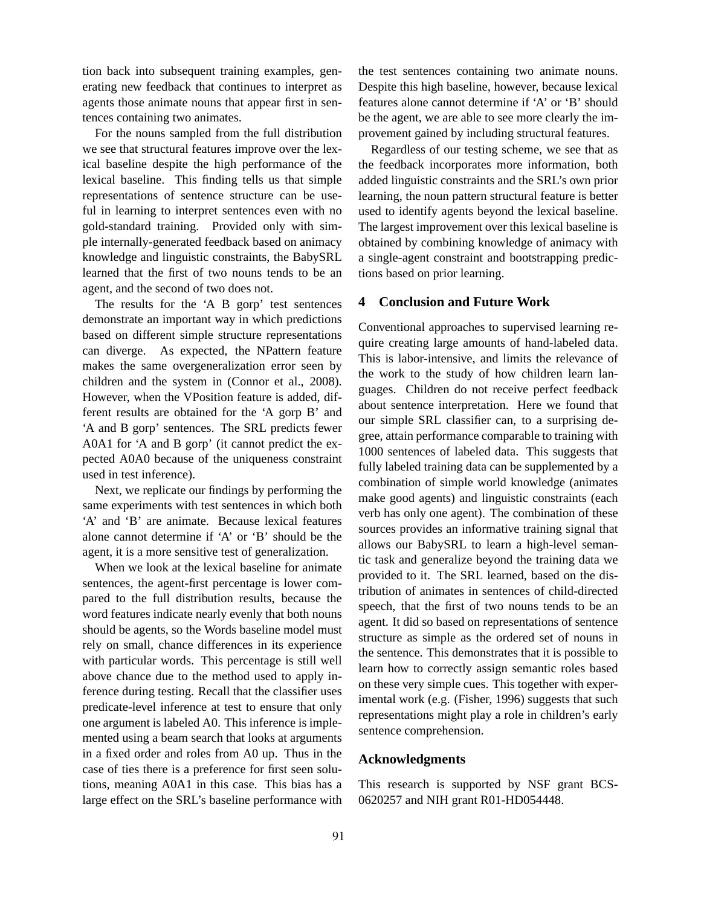tion back into subsequent training examples, generating new feedback that continues to interpret as agents those animate nouns that appear first in sentences containing two animates.

For the nouns sampled from the full distribution we see that structural features improve over the lexical baseline despite the high performance of the lexical baseline. This finding tells us that simple representations of sentence structure can be useful in learning to interpret sentences even with no gold-standard training. Provided only with simple internally-generated feedback based on animacy knowledge and linguistic constraints, the BabySRL learned that the first of two nouns tends to be an agent, and the second of two does not.

The results for the 'A B gorp' test sentences demonstrate an important way in which predictions based on different simple structure representations can diverge. As expected, the NPattern feature makes the same overgeneralization error seen by children and the system in (Connor et al., 2008). However, when the VPosition feature is added, different results are obtained for the 'A gorp B' and 'A and B gorp' sentences. The SRL predicts fewer A0A1 for 'A and B gorp' (it cannot predict the expected A0A0 because of the uniqueness constraint used in test inference).

Next, we replicate our findings by performing the same experiments with test sentences in which both 'A' and 'B' are animate. Because lexical features alone cannot determine if 'A' or 'B' should be the agent, it is a more sensitive test of generalization.

When we look at the lexical baseline for animate sentences, the agent-first percentage is lower compared to the full distribution results, because the word features indicate nearly evenly that both nouns should be agents, so the Words baseline model must rely on small, chance differences in its experience with particular words. This percentage is still well above chance due to the method used to apply inference during testing. Recall that the classifier uses predicate-level inference at test to ensure that only one argument is labeled A0. This inference is implemented using a beam search that looks at arguments in a fixed order and roles from A0 up. Thus in the case of ties there is a preference for first seen solutions, meaning A0A1 in this case. This bias has a large effect on the SRL's baseline performance with

the test sentences containing two animate nouns. Despite this high baseline, however, because lexical features alone cannot determine if 'A' or 'B' should be the agent, we are able to see more clearly the improvement gained by including structural features.

Regardless of our testing scheme, we see that as the feedback incorporates more information, both added linguistic constraints and the SRL's own prior learning, the noun pattern structural feature is better used to identify agents beyond the lexical baseline. The largest improvement over this lexical baseline is obtained by combining knowledge of animacy with a single-agent constraint and bootstrapping predictions based on prior learning.

# **4 Conclusion and Future Work**

Conventional approaches to supervised learning require creating large amounts of hand-labeled data. This is labor-intensive, and limits the relevance of the work to the study of how children learn languages. Children do not receive perfect feedback about sentence interpretation. Here we found that our simple SRL classifier can, to a surprising degree, attain performance comparable to training with 1000 sentences of labeled data. This suggests that fully labeled training data can be supplemented by a combination of simple world knowledge (animates make good agents) and linguistic constraints (each verb has only one agent). The combination of these sources provides an informative training signal that allows our BabySRL to learn a high-level semantic task and generalize beyond the training data we provided to it. The SRL learned, based on the distribution of animates in sentences of child-directed speech, that the first of two nouns tends to be an agent. It did so based on representations of sentence structure as simple as the ordered set of nouns in the sentence. This demonstrates that it is possible to learn how to correctly assign semantic roles based on these very simple cues. This together with experimental work (e.g. (Fisher, 1996) suggests that such representations might play a role in children's early sentence comprehension.

#### **Acknowledgments**

This research is supported by NSF grant BCS-0620257 and NIH grant R01-HD054448.